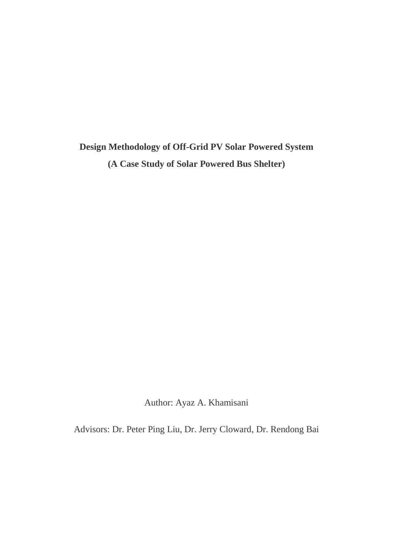# **Design Methodology of Off-Grid PV Solar Powered System (A Case Study of Solar Powered Bus Shelter)**

Author: Ayaz A. Khamisani

Advisors: Dr. Peter Ping Liu, Dr. Jerry Cloward, Dr. Rendong Bai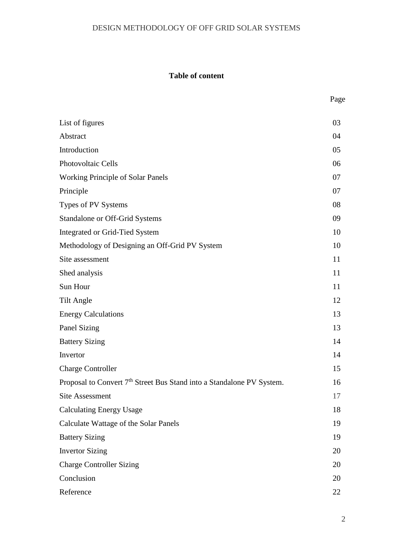# **Table of content**

| List of figures                                                                   | 03 |
|-----------------------------------------------------------------------------------|----|
| Abstract                                                                          | 04 |
| Introduction                                                                      | 05 |
| Photovoltaic Cells                                                                | 06 |
| <b>Working Principle of Solar Panels</b>                                          | 07 |
| Principle                                                                         | 07 |
| Types of PV Systems                                                               | 08 |
| <b>Standalone or Off-Grid Systems</b>                                             | 09 |
| Integrated or Grid-Tied System                                                    | 10 |
| Methodology of Designing an Off-Grid PV System                                    | 10 |
| Site assessment                                                                   | 11 |
| Shed analysis                                                                     | 11 |
| Sun Hour                                                                          | 11 |
| <b>Tilt Angle</b>                                                                 | 12 |
| <b>Energy Calculations</b>                                                        | 13 |
| Panel Sizing                                                                      | 13 |
| <b>Battery Sizing</b>                                                             | 14 |
| Invertor                                                                          | 14 |
| <b>Charge Controller</b>                                                          | 15 |
| Proposal to Convert 7 <sup>th</sup> Street Bus Stand into a Standalone PV System. | 16 |
| Site Assessment                                                                   | 17 |
| <b>Calculating Energy Usage</b>                                                   | 18 |
| Calculate Wattage of the Solar Panels                                             | 19 |
| <b>Battery Sizing</b>                                                             | 19 |
| <b>Invertor Sizing</b>                                                            | 20 |
| <b>Charge Controller Sizing</b>                                                   | 20 |
| Conclusion                                                                        | 20 |
| Reference                                                                         | 22 |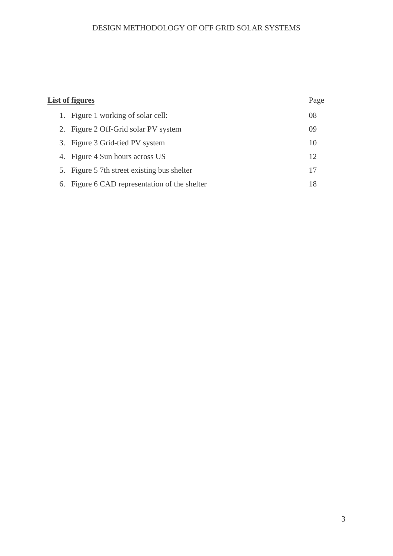| <b>List of figures</b><br>Page |  |                                               |    |  |  |  |
|--------------------------------|--|-----------------------------------------------|----|--|--|--|
|                                |  | 1. Figure 1 working of solar cell:            | 08 |  |  |  |
|                                |  | 2. Figure 2 Off-Grid solar PV system          | 09 |  |  |  |
|                                |  | 3. Figure 3 Grid-tied PV system               | 10 |  |  |  |
|                                |  | 4. Figure 4 Sun hours across US               | 12 |  |  |  |
|                                |  | 5. Figure 5 7th street existing bus shelter   | 17 |  |  |  |
|                                |  | 6. Figure 6 CAD representation of the shelter | 18 |  |  |  |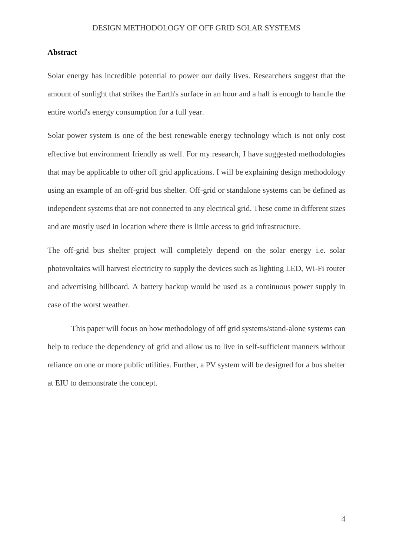## **Abstract**

Solar energy has incredible potential to power our daily lives. Researchers suggest that the amount of sunlight that strikes the Earth's surface in an hour and a half is enough to handle the entire world's energy consumption for a full year.

Solar power system is one of the best renewable energy technology which is not only cost effective but environment friendly as well. For my research, I have suggested methodologies that may be applicable to other off grid applications. I will be explaining design methodology using an example of an off-grid bus shelter. Off-grid or standalone systems can be defined as independent systems that are not connected to any electrical grid. These come in different sizes and are mostly used in location where there is little access to grid infrastructure.

The off-grid bus shelter project will completely depend on the solar energy i.e. solar photovoltaics will harvest electricity to supply the devices such as lighting LED, Wi-Fi router and advertising billboard. A battery backup would be used as a continuous power supply in case of the worst weather.

This paper will focus on how methodology of off grid systems/stand-alone systems can help to reduce the dependency of grid and allow us to live in self-sufficient manners without reliance on one or more public utilities. Further, a PV system will be designed for a bus shelter at EIU to demonstrate the concept.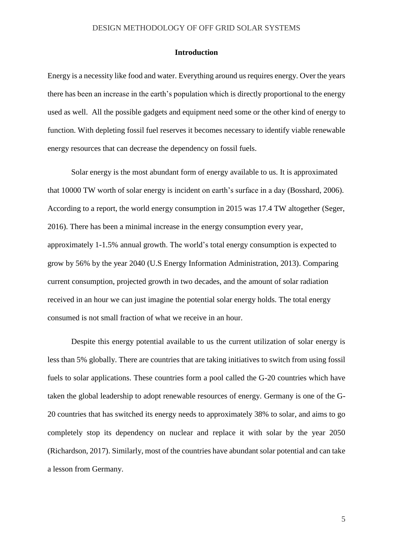#### **Introduction**

Energy is a necessity like food and water. Everything around us requires energy. Over the years there has been an increase in the earth's population which is directly proportional to the energy used as well. All the possible gadgets and equipment need some or the other kind of energy to function. With depleting fossil fuel reserves it becomes necessary to identify viable renewable energy resources that can decrease the dependency on fossil fuels.

Solar energy is the most abundant form of energy available to us. It is approximated that 10000 TW worth of solar energy is incident on earth's surface in a day (Bosshard, 2006). According to a report, the world energy consumption in 2015 was 17.4 TW altogether (Seger, 2016). There has been a minimal increase in the energy consumption every year, approximately 1-1.5% annual growth. The world's total energy consumption is expected to grow by 56% by the year 2040 (U.S Energy Information Administration, 2013). Comparing current consumption, projected growth in two decades, and the amount of solar radiation received in an hour we can just imagine the potential solar energy holds. The total energy consumed is not small fraction of what we receive in an hour.

Despite this energy potential available to us the current utilization of solar energy is less than 5% globally. There are countries that are taking initiatives to switch from using fossil fuels to solar applications. These countries form a pool called the G-20 countries which have taken the global leadership to adopt renewable resources of energy. Germany is one of the G-20 countries that has switched its energy needs to approximately 38% to solar, and aims to go completely stop its dependency on nuclear and replace it with solar by the year 2050 (Richardson, 2017). Similarly, most of the countries have abundant solar potential and can take a lesson from Germany.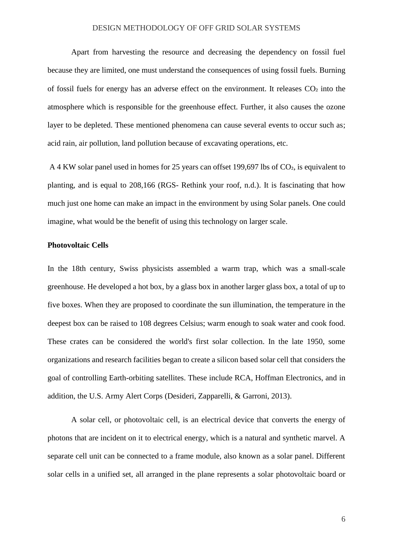Apart from harvesting the resource and decreasing the dependency on fossil fuel because they are limited, one must understand the consequences of using fossil fuels. Burning of fossil fuels for energy has an adverse effect on the environment. It releases CO₂ into the atmosphere which is responsible for the greenhouse effect. Further, it also causes the ozone layer to be depleted. These mentioned phenomena can cause several events to occur such as; acid rain, air pollution, land pollution because of excavating operations, etc.

A 4 KW solar panel used in homes for 25 years can offset 199,697 lbs of CO₂, is equivalent to planting, and is equal to 208,166 (RGS- Rethink your roof, n.d.). It is fascinating that how much just one home can make an impact in the environment by using Solar panels. One could imagine, what would be the benefit of using this technology on larger scale.

# **Photovoltaic Cells**

In the 18th century, Swiss physicists assembled a warm trap, which was a small-scale greenhouse. He developed a hot box, by a glass box in another larger glass box, a total of up to five boxes. When they are proposed to coordinate the sun illumination, the temperature in the deepest box can be raised to 108 degrees Celsius; warm enough to soak water and cook food. These crates can be considered the world's first solar collection. In the late 1950, some organizations and research facilities began to create a silicon based solar cell that considers the goal of controlling Earth-orbiting satellites. These include RCA, Hoffman Electronics, and in addition, the U.S. Army Alert Corps (Desideri, Zapparelli, & Garroni, 2013).

A solar cell, or photovoltaic cell, is an electrical device that converts the energy of photons that are incident on it to electrical energy, which is a natural and synthetic marvel. A separate cell unit can be connected to a frame module, also known as a solar panel. Different solar cells in a unified set, all arranged in the plane represents a solar photovoltaic board or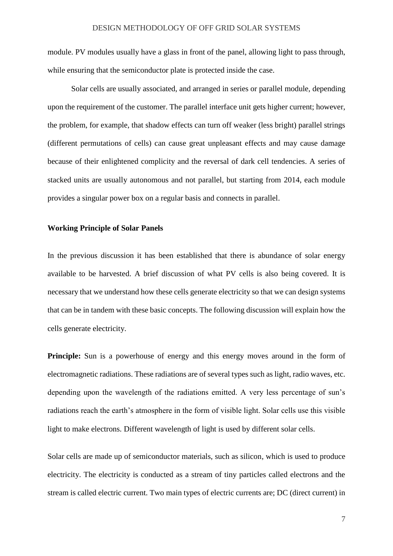module. PV modules usually have a glass in front of the panel, allowing light to pass through, while ensuring that the semiconductor plate is protected inside the case.

Solar cells are usually associated, and arranged in series or parallel module, depending upon the requirement of the customer. The parallel interface unit gets higher current; however, the problem, for example, that shadow effects can turn off weaker (less bright) parallel strings (different permutations of cells) can cause great unpleasant effects and may cause damage because of their enlightened complicity and the reversal of dark cell tendencies. A series of stacked units are usually autonomous and not parallel, but starting from 2014, each module provides a singular power box on a regular basis and connects in parallel.

# **Working Principle of Solar Panels**

In the previous discussion it has been established that there is abundance of solar energy available to be harvested. A brief discussion of what PV cells is also being covered. It is necessary that we understand how these cells generate electricity so that we can design systems that can be in tandem with these basic concepts. The following discussion will explain how the cells generate electricity.

**Principle:** Sun is a powerhouse of energy and this energy moves around in the form of electromagnetic radiations. These radiations are of several types such as light, radio waves, etc. depending upon the wavelength of the radiations emitted. A very less percentage of sun's radiations reach the earth's atmosphere in the form of visible light. Solar cells use this visible light to make electrons. Different wavelength of light is used by different solar cells.

Solar cells are made up of semiconductor materials, such as silicon, which is used to produce electricity. The electricity is conducted as a stream of tiny particles called electrons and the stream is called electric current. Two main types of electric currents are; DC (direct current) in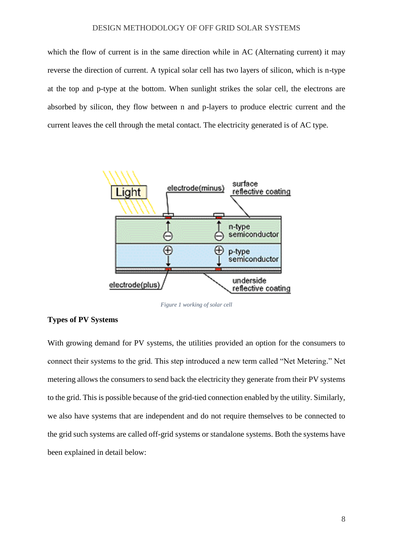which the flow of current is in the same direction while in AC (Alternating current) it may reverse the direction of current. A typical solar cell has two layers of silicon, which is n-type at the top and p-type at the bottom. When sunlight strikes the solar cell, the electrons are absorbed by silicon, they flow between n and p-layers to produce electric current and the current leaves the cell through the metal contact. The electricity generated is of AC type.



*Figure 1 working of solar cell*

### **Types of PV Systems**

With growing demand for PV systems, the utilities provided an option for the consumers to connect their systems to the grid. This step introduced a new term called "Net Metering." Net metering allows the consumers to send back the electricity they generate from their PV systems to the grid. This is possible because of the grid-tied connection enabled by the utility. Similarly, we also have systems that are independent and do not require themselves to be connected to the grid such systems are called off-grid systems or standalone systems. Both the systems have been explained in detail below: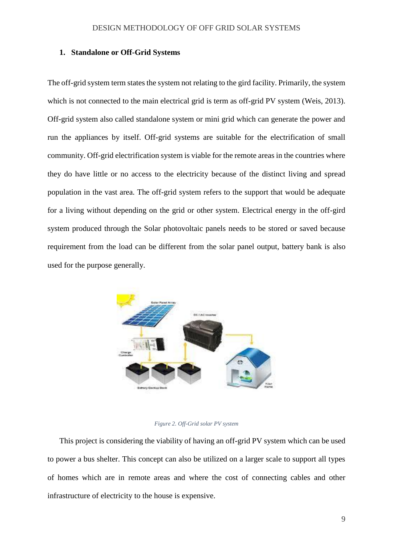#### **1. Standalone or Off-Grid Systems**

The off-grid system term states the system not relating to the gird facility. Primarily, the system which is not connected to the main electrical grid is term as off-grid PV system (Weis, 2013). Off-grid system also called standalone system or mini grid which can generate the power and run the appliances by itself. Off-grid systems are suitable for the electrification of small community. Off-grid electrification system is viable for the remote areas in the countries where they do have little or no access to the electricity because of the distinct living and spread population in the vast area. The off-grid system refers to the support that would be adequate for a living without depending on the grid or other system. Electrical energy in the off-gird system produced through the Solar photovoltaic panels needs to be stored or saved because requirement from the load can be different from the solar panel output, battery bank is also used for the purpose generally.



#### *Figure 2. Off-Grid solar PV system*

This project is considering the viability of having an off-grid PV system which can be used to power a bus shelter. This concept can also be utilized on a larger scale to support all types of homes which are in remote areas and where the cost of connecting cables and other infrastructure of electricity to the house is expensive.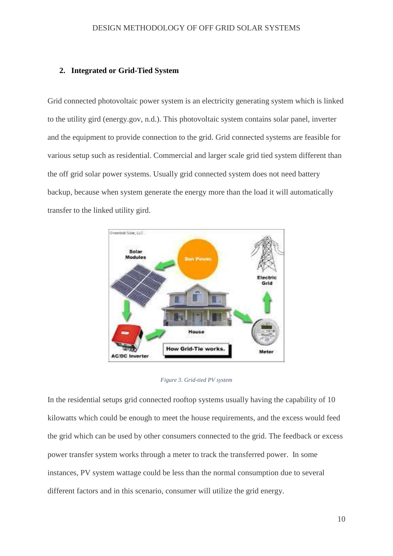# **2. Integrated or Grid-Tied System**

Grid connected photovoltaic power system is an electricity generating system which is linked to the utility gird (energy.gov, n.d.). This photovoltaic system contains solar panel, inverter and the equipment to provide connection to the grid. Grid connected systems are feasible for various setup such as residential. Commercial and larger scale grid tied system different than the off grid solar power systems. Usually grid connected system does not need battery backup, because when system generate the energy more than the load it will automatically transfer to the linked utility gird.



*Figure 3. Grid-tied PV system*

In the residential setups grid connected rooftop systems usually having the capability of 10 kilowatts which could be enough to meet the house requirements, and the excess would feed the grid which can be used by other consumers connected to the grid. The feedback or excess power transfer system works through a meter to track the transferred power. In some instances, PV system wattage could be less than the normal consumption due to several different factors and in this scenario, consumer will utilize the grid energy.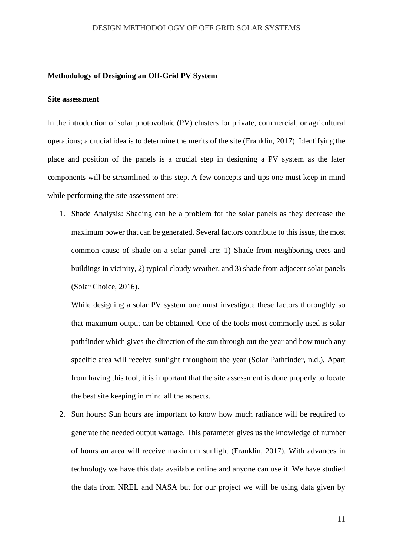# **Methodology of Designing an Off-Grid PV System**

## **Site assessment**

In the introduction of solar photovoltaic (PV) clusters for private, commercial, or agricultural operations; a crucial idea is to determine the merits of the site (Franklin, 2017). Identifying the place and position of the panels is a crucial step in designing a PV system as the later components will be streamlined to this step. A few concepts and tips one must keep in mind while performing the site assessment are:

1. Shade Analysis: Shading can be a problem for the solar panels as they decrease the maximum power that can be generated. Several factors contribute to this issue, the most common cause of shade on a solar panel are; 1) Shade from neighboring trees and buildings in vicinity, 2) typical cloudy weather, and 3) shade from adjacent solar panels (Solar Choice, 2016).

While designing a solar PV system one must investigate these factors thoroughly so that maximum output can be obtained. One of the tools most commonly used is solar pathfinder which gives the direction of the sun through out the year and how much any specific area will receive sunlight throughout the year (Solar Pathfinder, n.d.). Apart from having this tool, it is important that the site assessment is done properly to locate the best site keeping in mind all the aspects.

2. Sun hours: Sun hours are important to know how much radiance will be required to generate the needed output wattage. This parameter gives us the knowledge of number of hours an area will receive maximum sunlight (Franklin, 2017). With advances in technology we have this data available online and anyone can use it. We have studied the data from NREL and NASA but for our project we will be using data given by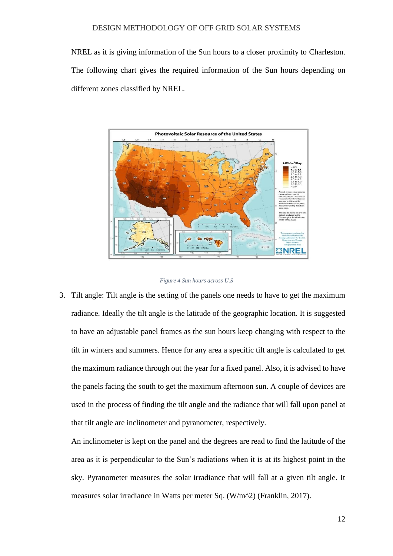NREL as it is giving information of the Sun hours to a closer proximity to Charleston. The following chart gives the required information of the Sun hours depending on different zones classified by NREL.



#### *Figure 4 Sun hours across U.S*

3. Tilt angle: Tilt angle is the setting of the panels one needs to have to get the maximum radiance. Ideally the tilt angle is the latitude of the geographic location. It is suggested to have an adjustable panel frames as the sun hours keep changing with respect to the tilt in winters and summers. Hence for any area a specific tilt angle is calculated to get the maximum radiance through out the year for a fixed panel. Also, it is advised to have the panels facing the south to get the maximum afternoon sun. A couple of devices are used in the process of finding the tilt angle and the radiance that will fall upon panel at that tilt angle are inclinometer and pyranometer, respectively.

An inclinometer is kept on the panel and the degrees are read to find the latitude of the area as it is perpendicular to the Sun's radiations when it is at its highest point in the sky. Pyranometer measures the solar irradiance that will fall at a given tilt angle. It measures solar irradiance in Watts per meter Sq. (W/m^2) (Franklin, 2017).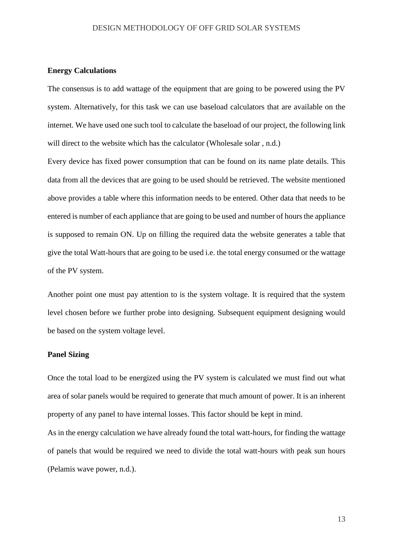#### **Energy Calculations**

The consensus is to add wattage of the equipment that are going to be powered using the PV system. Alternatively, for this task we can use baseload calculators that are available on the internet. We have used one such tool to calculate the baseload of our project, the following link will direct to the website which has the calculator (Wholesale solar, n.d.)

Every device has fixed power consumption that can be found on its name plate details. This data from all the devices that are going to be used should be retrieved. The website mentioned above provides a table where this information needs to be entered. Other data that needs to be entered is number of each appliance that are going to be used and number of hours the appliance is supposed to remain ON. Up on filling the required data the website generates a table that give the total Watt-hours that are going to be used i.e. the total energy consumed or the wattage of the PV system.

Another point one must pay attention to is the system voltage. It is required that the system level chosen before we further probe into designing. Subsequent equipment designing would be based on the system voltage level.

#### **Panel Sizing**

Once the total load to be energized using the PV system is calculated we must find out what area of solar panels would be required to generate that much amount of power. It is an inherent property of any panel to have internal losses. This factor should be kept in mind.

As in the energy calculation we have already found the total watt-hours, for finding the wattage of panels that would be required we need to divide the total watt-hours with peak sun hours (Pelamis wave power, n.d.).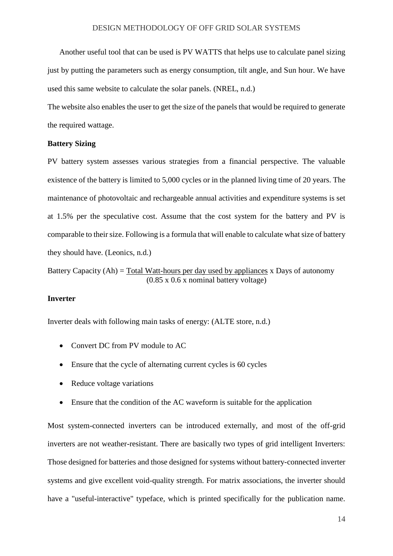Another useful tool that can be used is PV WATTS that helps use to calculate panel sizing just by putting the parameters such as energy consumption, tilt angle, and Sun hour. We have used this same website to calculate the solar panels. (NREL, n.d.)

The website also enables the user to get the size of the panels that would be required to generate the required wattage.

# **Battery Sizing**

PV battery system assesses various strategies from a financial perspective. The valuable existence of the battery is limited to 5,000 cycles or in the planned living time of 20 years. The maintenance of photovoltaic and rechargeable annual activities and expenditure systems is set at 1.5% per the speculative cost. Assume that the cost system for the battery and PV is comparable to their size. Following is a formula that will enable to calculate what size of battery they should have. (Leonics, n.d.)

Battery Capacity  $(Ah)$  = Total Watt-hours per day used by appliances x Days of autonomy (0.85 x 0.6 x nominal battery voltage)

## **Inverter**

Inverter deals with following main tasks of energy: (ALTE store, n.d.)

- Convert DC from PV module to AC
- Ensure that the cycle of alternating current cycles is 60 cycles
- Reduce voltage variations
- Ensure that the condition of the AC waveform is suitable for the application

Most system-connected inverters can be introduced externally, and most of the off-grid inverters are not weather-resistant. There are basically two types of grid intelligent Inverters: Those designed for batteries and those designed for systems without battery-connected inverter systems and give excellent void-quality strength. For matrix associations, the inverter should have a "useful-interactive" typeface, which is printed specifically for the publication name.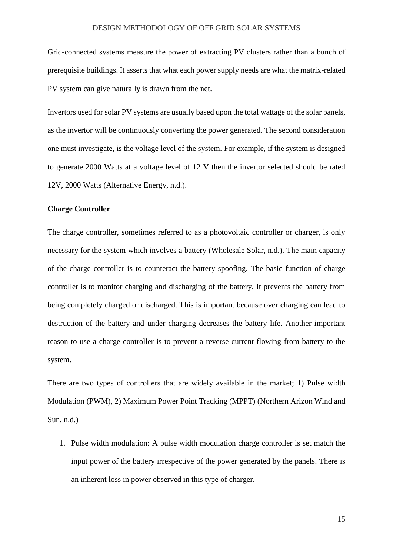Grid-connected systems measure the power of extracting PV clusters rather than a bunch of prerequisite buildings. It asserts that what each power supply needs are what the matrix-related PV system can give naturally is drawn from the net.

Invertors used for solar PV systems are usually based upon the total wattage of the solar panels, as the invertor will be continuously converting the power generated. The second consideration one must investigate, is the voltage level of the system. For example, if the system is designed to generate 2000 Watts at a voltage level of 12 V then the invertor selected should be rated 12V, 2000 Watts (Alternative Energy, n.d.).

### **Charge Controller**

The charge controller, sometimes referred to as a photovoltaic controller or charger, is only necessary for the system which involves a battery (Wholesale Solar, n.d.). The main capacity of the charge controller is to counteract the battery spoofing. The basic function of charge controller is to monitor charging and discharging of the battery. It prevents the battery from being completely charged or discharged. This is important because over charging can lead to destruction of the battery and under charging decreases the battery life. Another important reason to use a charge controller is to prevent a reverse current flowing from battery to the system.

There are two types of controllers that are widely available in the market; 1) Pulse width Modulation (PWM), 2) Maximum Power Point Tracking (MPPT) (Northern Arizon Wind and Sun, n.d.)

1. Pulse width modulation: A pulse width modulation charge controller is set match the input power of the battery irrespective of the power generated by the panels. There is an inherent loss in power observed in this type of charger.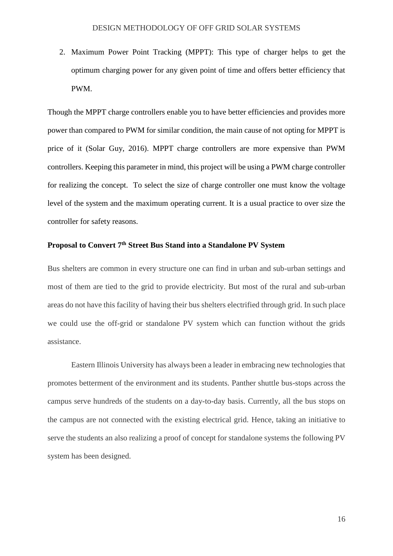2. Maximum Power Point Tracking (MPPT): This type of charger helps to get the optimum charging power for any given point of time and offers better efficiency that PWM.

Though the MPPT charge controllers enable you to have better efficiencies and provides more power than compared to PWM for similar condition, the main cause of not opting for MPPT is price of it (Solar Guy, 2016). MPPT charge controllers are more expensive than PWM controllers. Keeping this parameter in mind, this project will be using a PWM charge controller for realizing the concept. To select the size of charge controller one must know the voltage level of the system and the maximum operating current. It is a usual practice to over size the controller for safety reasons.

# **Proposal to Convert 7th Street Bus Stand into a Standalone PV System**

Bus shelters are common in every structure one can find in urban and sub-urban settings and most of them are tied to the grid to provide electricity. But most of the rural and sub-urban areas do not have this facility of having their bus shelters electrified through grid. In such place we could use the off-grid or standalone PV system which can function without the grids assistance.

Eastern Illinois University has always been a leader in embracing new technologies that promotes betterment of the environment and its students. Panther shuttle bus-stops across the campus serve hundreds of the students on a day-to-day basis. Currently, all the bus stops on the campus are not connected with the existing electrical grid. Hence, taking an initiative to serve the students an also realizing a proof of concept for standalone systems the following PV system has been designed.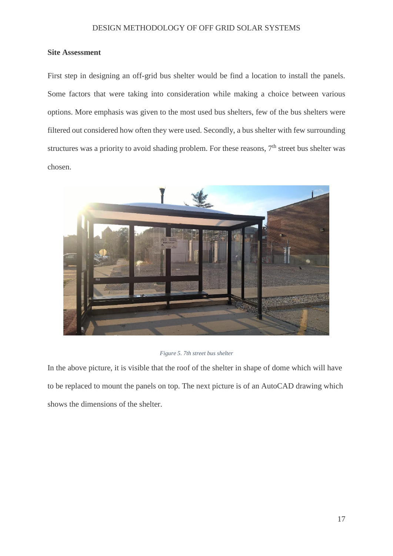# **Site Assessment**

First step in designing an off-grid bus shelter would be find a location to install the panels. Some factors that were taking into consideration while making a choice between various options. More emphasis was given to the most used bus shelters, few of the bus shelters were filtered out considered how often they were used. Secondly, a bus shelter with few surrounding structures was a priority to avoid shading problem. For these reasons, 7<sup>th</sup> street bus shelter was chosen.



#### *Figure 5. 7th street bus shelter*

In the above picture, it is visible that the roof of the shelter in shape of dome which will have to be replaced to mount the panels on top. The next picture is of an AutoCAD drawing which shows the dimensions of the shelter.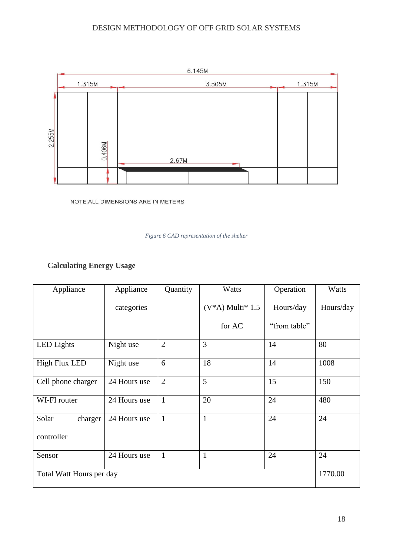

NOTE: ALL DIMENSIONS ARE IN METERS

*Figure 6 CAD representation of the shelter*

# **Calculating Energy Usage**

| Appliance                | Appliance    | Quantity       | Watts               | Operation    | Watts     |  |  |
|--------------------------|--------------|----------------|---------------------|--------------|-----------|--|--|
|                          | categories   |                | $(V^*A)$ Multi* 1.5 | Hours/day    | Hours/day |  |  |
|                          |              |                | for AC              | "from table" |           |  |  |
| LED Lights               | Night use    | $\overline{2}$ | 3                   | 14           | 80        |  |  |
| <b>High Flux LED</b>     | Night use    | 6              | 18                  | 14           | 1008      |  |  |
| Cell phone charger       | 24 Hours use | 2              | 5                   | 15           | 150       |  |  |
| WI-FI router             | 24 Hours use | $\mathbf{1}$   | 20                  | 24           | 480       |  |  |
| Solar<br>charger         | 24 Hours use | $\mathbf{1}$   | $\mathbf{1}$        | 24           | 24        |  |  |
| controller               |              |                |                     |              |           |  |  |
| Sensor                   | 24 Hours use | $\mathbf{1}$   | $\mathbf{1}$        | 24           | 24        |  |  |
| Total Watt Hours per day |              |                |                     |              |           |  |  |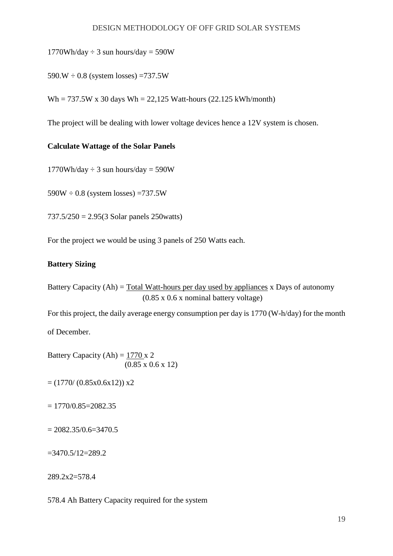# $1770Wh/day \div 3$  sun hours/day = 590W

 $590.W \div 0.8$  (system losses) =737.5W

Wh =  $737.5W$  x 30 days Wh =  $22,125$  Watt-hours (22.125 kWh/month)

The project will be dealing with lower voltage devices hence a 12V system is chosen.

# **Calculate Wattage of the Solar Panels**

 $1770Wh/day \div 3$  sun hours/day = 590W

 $590W \div 0.8$  (system losses) =737.5W

737.5/250 = 2.95(3 Solar panels 250watts)

For the project we would be using 3 panels of 250 Watts each.

# **Battery Sizing**

Battery Capacity  $(Ah)$  = Total Watt-hours per day used by appliances x Days of autonomy (0.85 x 0.6 x nominal battery voltage)

For this project, the daily average energy consumption per day is 1770 (W-h/day) for the month

of December.

Battery Capacity (Ah) =  $1770 \times 2$ (0.85 x 0.6 x 12)

 $= (1770/(0.85x0.6x12))$  x2

 $= 1770/0.85 = 2082.35$ 

 $= 2082.35/0.6 = 3470.5$ 

 $=3470.5/12=289.2$ 

289.2x2=578.4

578.4 Ah Battery Capacity required for the system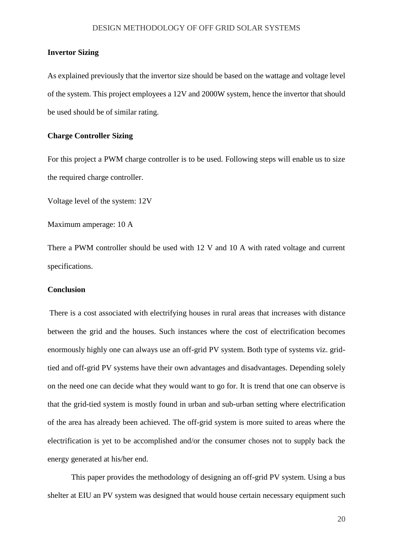#### **Invertor Sizing**

As explained previously that the invertor size should be based on the wattage and voltage level of the system. This project employees a 12V and 2000W system, hence the invertor that should be used should be of similar rating.

# **Charge Controller Sizing**

For this project a PWM charge controller is to be used. Following steps will enable us to size the required charge controller.

Voltage level of the system: 12V

Maximum amperage: 10 A

There a PWM controller should be used with 12 V and 10 A with rated voltage and current specifications.

### **Conclusion**

There is a cost associated with electrifying houses in rural areas that increases with distance between the grid and the houses. Such instances where the cost of electrification becomes enormously highly one can always use an off-grid PV system. Both type of systems viz. gridtied and off-grid PV systems have their own advantages and disadvantages. Depending solely on the need one can decide what they would want to go for. It is trend that one can observe is that the grid-tied system is mostly found in urban and sub-urban setting where electrification of the area has already been achieved. The off-grid system is more suited to areas where the electrification is yet to be accomplished and/or the consumer choses not to supply back the energy generated at his/her end.

This paper provides the methodology of designing an off-grid PV system. Using a bus shelter at EIU an PV system was designed that would house certain necessary equipment such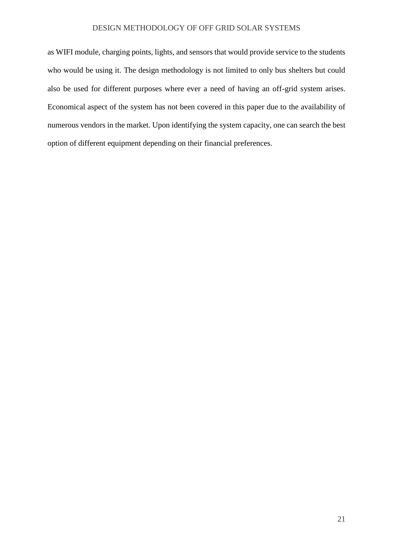as WIFI module, charging points, lights, and sensors that would provide service to the students who would be using it. The design methodology is not limited to only bus shelters but could also be used for different purposes where ever a need of having an off-grid system arises. Economical aspect of the system has not been covered in this paper due to the availability of numerous vendors in the market. Upon identifying the system capacity, one can search the best option of different equipment depending on their financial preferences.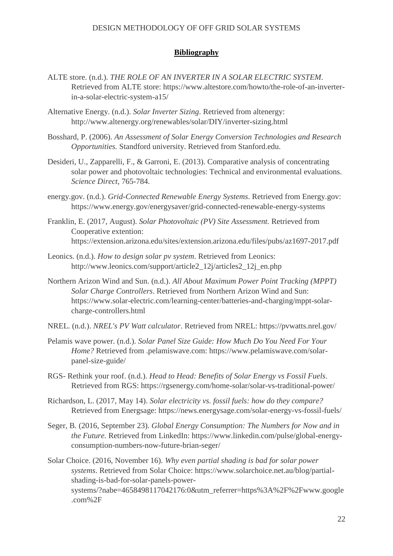# **Bibliography**

- ALTE store. (n.d.). *THE ROLE OF AN INVERTER IN A SOLAR ELECTRIC SYSTEM*. Retrieved from ALTE store: https://www.altestore.com/howto/the-role-of-an-inverterin-a-solar-electric-system-a15/
- Alternative Energy. (n.d.). *Solar Inverter Sizing*. Retrieved from altenergy: http://www.altenergy.org/renewables/solar/DIY/inverter-sizing.html
- Bosshard, P. (2006). *An Assessment of Solar Energy Conversion Technologies and Research Opportunities.* Standford university. Retrieved from Stanford.edu.
- Desideri, U., Zapparelli, F., & Garroni, E. (2013). Comparative analysis of concentrating solar power and photovoltaic technologies: Technical and environmental evaluations. *Science Direct*, 765-784.
- energy.gov. (n.d.). *Grid-Connected Renewable Energy Systems*. Retrieved from Energy.gov: https://www.energy.gov/energysaver/grid-connected-renewable-energy-systems
- Franklin, E. (2017, August). *Solar Photovoltaic (PV) Site Assessment.* Retrieved from Cooperative extention: https://extension.arizona.edu/sites/extension.arizona.edu/files/pubs/az1697-2017.pdf
- Leonics. (n.d.). *How to design solar pv system*. Retrieved from Leonics: http://www.leonics.com/support/article2\_12j/articles2\_12j\_en.php
- Northern Arizon Wind and Sun. (n.d.). *All About Maximum Power Point Tracking (MPPT) Solar Charge Controllers*. Retrieved from Northern Arizon Wind and Sun: https://www.solar-electric.com/learning-center/batteries-and-charging/mppt-solarcharge-controllers.html
- NREL. (n.d.). *NREL's PV Watt calculator*. Retrieved from NREL: https://pvwatts.nrel.gov/
- Pelamis wave power. (n.d.). *Solar Panel Size Guide: How Much Do You Need For Your Home?* Retrieved from .pelamiswave.com: https://www.pelamiswave.com/solarpanel-size-guide/
- RGS- Rethink your roof. (n.d.). *Head to Head: Benefits of Solar Energy vs Fossil Fuels*. Retrieved from RGS: https://rgsenergy.com/home-solar/solar-vs-traditional-power/
- Richardson, L. (2017, May 14). *Solar electricity vs. fossil fuels: how do they compare?* Retrieved from Energsage: https://news.energysage.com/solar-energy-vs-fossil-fuels/
- Seger, B. (2016, September 23). *Global Energy Consumption: The Numbers for Now and in the Future.* Retrieved from LinkedIn: https://www.linkedin.com/pulse/global-energyconsumption-numbers-now-future-brian-seger/
- Solar Choice. (2016, November 16). *Why even partial shading is bad for solar power systems*. Retrieved from Solar Choice: https://www.solarchoice.net.au/blog/partialshading-is-bad-for-solar-panels-powersystems/?nabe=4658498117042176:0&utm\_referrer=https%3A%2F%2Fwww.google .com%2F